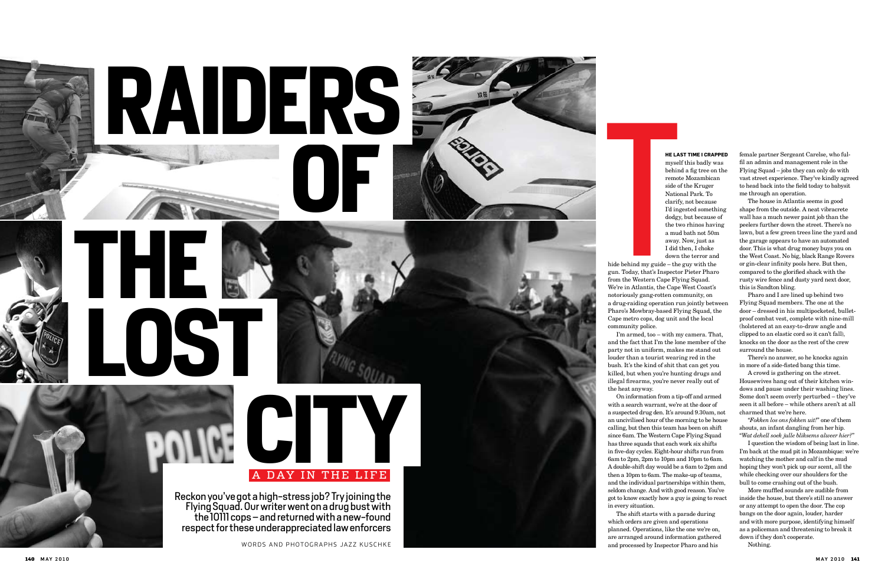### **he last time I crapped**

myself this badly was behind a fig tree on the remote Mozambican side of the Kruger National Park. To clarify, not because I'd ingested something dodgy, but because of the two rhinos having a mud bath not 50m away. Now, just as I did then, I choke down the terror and notoriously gang-rotten community, on a drug-raiding operation run jointly between Pharo's Mowbray-based Flying Squad, the

I'm armed, too – with my camera. That, and the fact that I'm the lone member of the party not in uniform, makes me stand out louder than a tourist wearing red in the bush. It's the kind of shit that can get you killed, but when you're hunting drugs and illegal firearms, you're never really out of

On information from a tip-off and armed with a search warrant, we're at the door of a suspected drug den. It's around 9.30am, not an uncivilised hour of the morning to be house calling, but then this team has been on shift since 6am. The Western Cape Flying Squad has three squads that each work six shifts in five-day cycles. Eight-hour shifts run from 6am to 2pm, 2pm to 10pm and 10pm to 6am. A double-shift day would be a 6am to 2pm and then a 10pm to 6am. The make-up of teams, and the individual partnerships within them, seldom change. And with good reason. You've got to know exactly how a guy is going to react

The shift starts with a parade during which orders are given and operations planned. Operations, like the one we're on, are arranged around information gathered and processed by Inspector Pharo and his

female partner Sergeant Carelse, who ful fil an admin and management role in the Flying Squad – jobs they can only do with vast street experience. They've kindly agreed to head back into the field today to babysit me through an operation.



The house in Atlantis seems in good shape from the outside. A neat vibracrete wall has a much newer paint job than the peelers further down the street. There's no lawn, but a few green trees line the yard and the garage appears to have an automated door. This is what drug money buys you on the West Coast. No big, black Range Rovers or gin-clear infinity pools here. But then, compared to the glorified shack with the rusty wire fence and dusty yard next door, this is Sandton bling.

Pharo and I are lined up behind two Flying Squad members. The one at the door – dressed in his multipocketed, bullet proof combat vest, complete with nine-mill (holstered at an easy-to-draw angle and clipped to an elastic cord so it can't fall), knocks on the door as the rest of the crew surround the house.

There's no answer, so he knocks again in more of a side-fisted bang this time.

A crowd is gathering on the street. Housewives hang out of their kitchen win dows and pause under their washing lines. Some don't seem overly perturbed – they've seen it all before – while others aren't at all charmed that we're here. "*Fokken los ons fokken uit!*" one of them

shouts, an infant dangling from her hip. "*Wat dehell soek julle bliksems alweer hier?*"

I question the wisdom of being last in line. I'm back at the mud pit in Mozambique: we're watching the mother and calf in the mud hoping they won't pick up our scent, all the while checking over our shoulders for the bull to come crashing out of the bush.

More muffled sounds are audible from inside the house, but there's still no answer or any attempt to open the door. The cop bangs on the door again, louder, harder and with more purpose, identifying himself as a policeman and threatening to break it down if they don't cooperate.

Nothing.